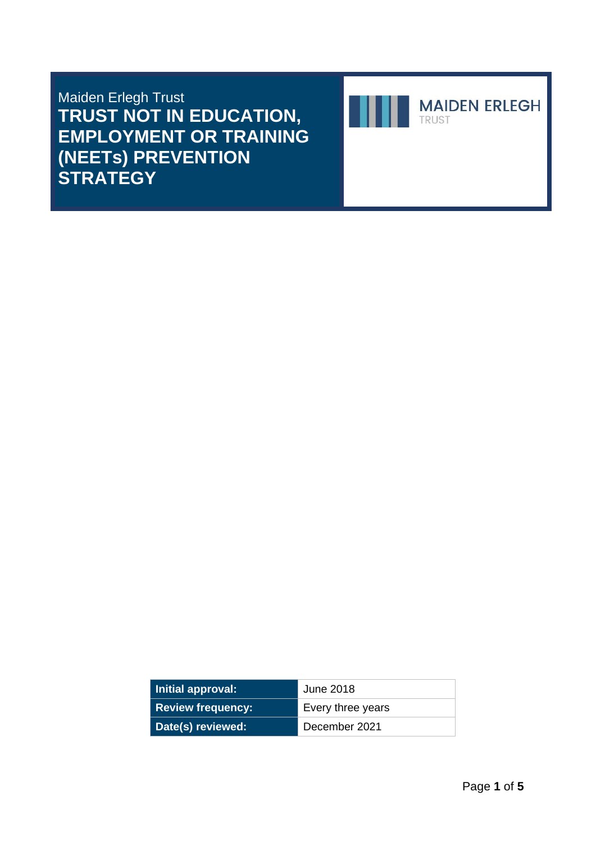Maiden Erlegh Trust **TRUST NOT IN EDUCATION, EMPLOYMENT OR TRAINING (NEETs) PREVENTION STRATEGY**



| Initial approval:        | June 2018         |
|--------------------------|-------------------|
| <b>Review frequency:</b> | Every three years |
| Date(s) reviewed:        | December 2021     |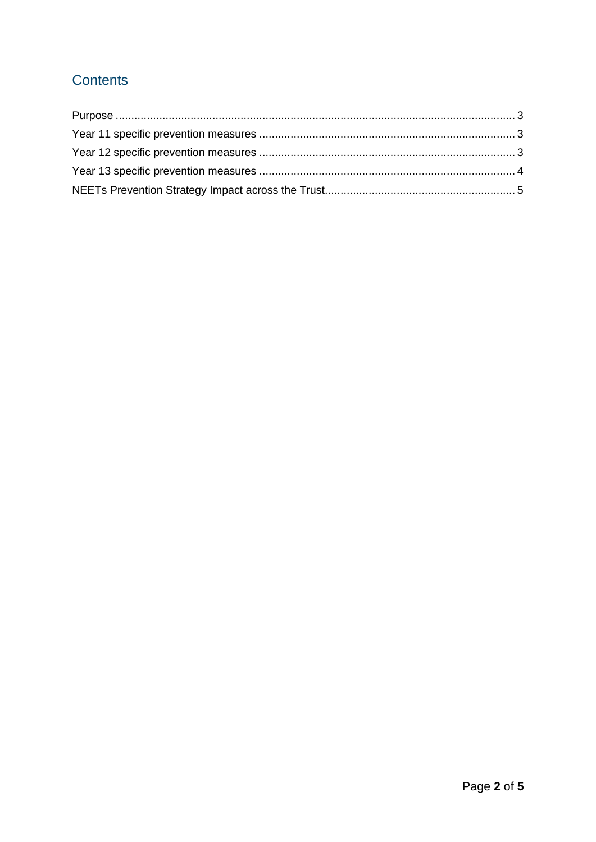# **Contents**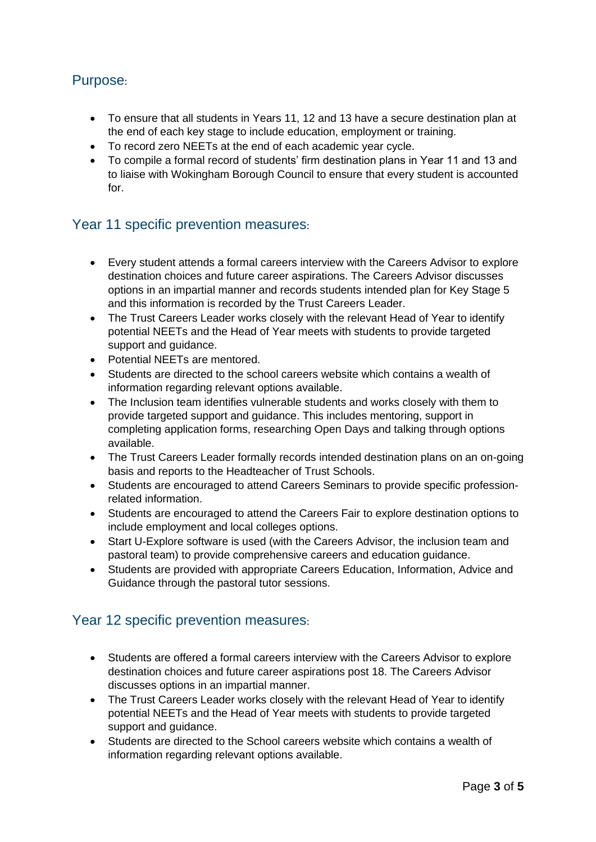## <span id="page-2-0"></span>Purpose:

- To ensure that all students in Years 11, 12 and 13 have a secure destination plan at the end of each key stage to include education, employment or training.
- To record zero NEETs at the end of each academic year cycle.
- To compile a formal record of students' firm destination plans in Year 11 and 13 and to liaise with Wokingham Borough Council to ensure that every student is accounted for.

#### <span id="page-2-1"></span>Year 11 specific prevention measures:

- Every student attends a formal careers interview with the Careers Advisor to explore destination choices and future career aspirations. The Careers Advisor discusses options in an impartial manner and records students intended plan for Key Stage 5 and this information is recorded by the Trust Careers Leader.
- The Trust Careers Leader works closely with the relevant Head of Year to identify potential NEETs and the Head of Year meets with students to provide targeted support and guidance.
- Potential NEETs are mentored.
- Students are directed to the school careers website which contains a wealth of information regarding relevant options available.
- The Inclusion team identifies vulnerable students and works closely with them to provide targeted support and guidance. This includes mentoring, support in completing application forms, researching Open Days and talking through options available.
- The Trust Careers Leader formally records intended destination plans on an on-going basis and reports to the Headteacher of Trust Schools.
- Students are encouraged to attend Careers Seminars to provide specific professionrelated information.
- Students are encouraged to attend the Careers Fair to explore destination options to include employment and local colleges options.
- Start U-Explore software is used (with the Careers Advisor, the inclusion team and pastoral team) to provide comprehensive careers and education guidance.
- Students are provided with appropriate Careers Education, Information, Advice and Guidance through the pastoral tutor sessions.

#### <span id="page-2-2"></span>Year 12 specific prevention measures:

- Students are offered a formal careers interview with the Careers Advisor to explore destination choices and future career aspirations post 18. The Careers Advisor discusses options in an impartial manner.
- The Trust Careers Leader works closely with the relevant Head of Year to identify potential NEETs and the Head of Year meets with students to provide targeted support and guidance.
- Students are directed to the School careers website which contains a wealth of information regarding relevant options available.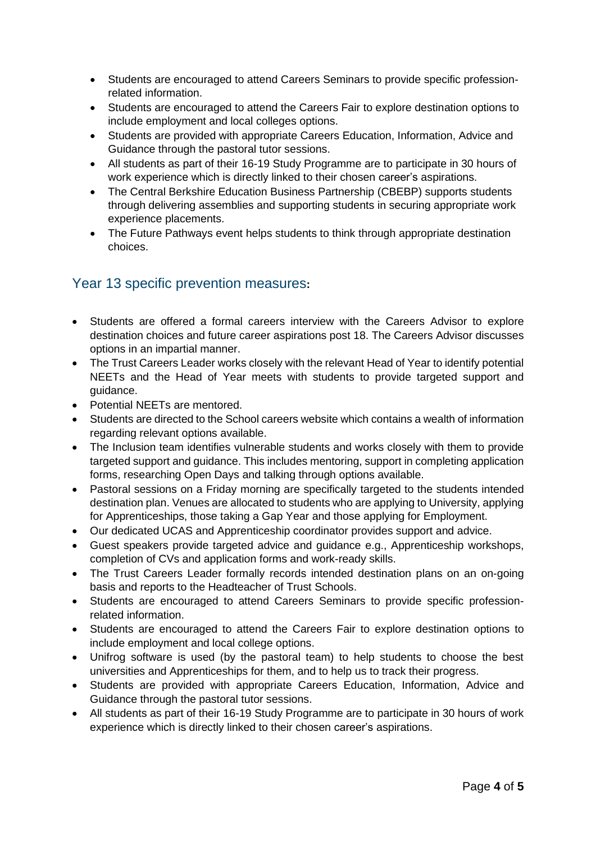- Students are encouraged to attend Careers Seminars to provide specific professionrelated information.
- Students are encouraged to attend the Careers Fair to explore destination options to include employment and local colleges options.
- Students are provided with appropriate Careers Education, Information, Advice and Guidance through the pastoral tutor sessions.
- All students as part of their 16-19 Study Programme are to participate in 30 hours of work experience which is directly linked to their chosen career's aspirations.
- The Central Berkshire Education Business Partnership (CBEBP) supports students through delivering assemblies and supporting students in securing appropriate work experience placements.
- The Future Pathways event helps students to think through appropriate destination choices.

## <span id="page-3-0"></span>Year 13 specific prevention measures**:**

- Students are offered a formal careers interview with the Careers Advisor to explore destination choices and future career aspirations post 18. The Careers Advisor discusses options in an impartial manner.
- The Trust Careers Leader works closely with the relevant Head of Year to identify potential NEETs and the Head of Year meets with students to provide targeted support and guidance.
- Potential NEETs are mentored.
- Students are directed to the School careers website which contains a wealth of information regarding relevant options available.
- The Inclusion team identifies vulnerable students and works closely with them to provide targeted support and guidance. This includes mentoring, support in completing application forms, researching Open Days and talking through options available.
- Pastoral sessions on a Friday morning are specifically targeted to the students intended destination plan. Venues are allocated to students who are applying to University, applying for Apprenticeships, those taking a Gap Year and those applying for Employment.
- Our dedicated UCAS and Apprenticeship coordinator provides support and advice.
- Guest speakers provide targeted advice and guidance e.g., Apprenticeship workshops, completion of CVs and application forms and work-ready skills.
- The Trust Careers Leader formally records intended destination plans on an on-going basis and reports to the Headteacher of Trust Schools.
- Students are encouraged to attend Careers Seminars to provide specific professionrelated information.
- Students are encouraged to attend the Careers Fair to explore destination options to include employment and local college options.
- Unifrog software is used (by the pastoral team) to help students to choose the best universities and Apprenticeships for them, and to help us to track their progress.
- Students are provided with appropriate Careers Education, Information, Advice and Guidance through the pastoral tutor sessions.
- All students as part of their 16-19 Study Programme are to participate in 30 hours of work experience which is directly linked to their chosen career's aspirations.